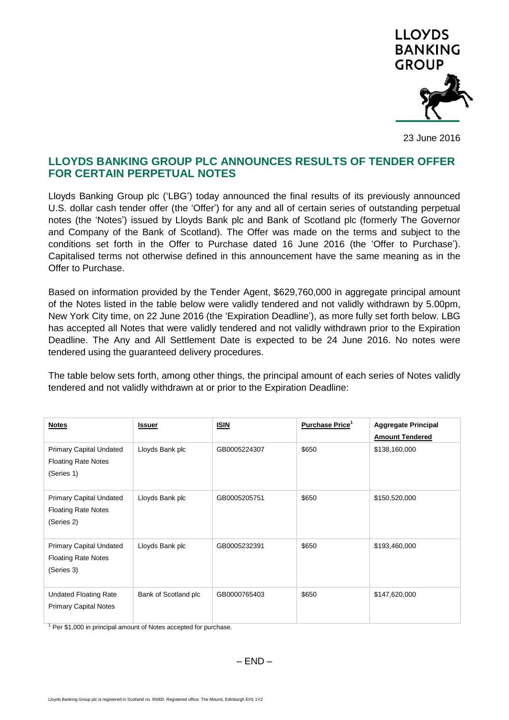

23 June 2016

## **LLOYDS BANKING GROUP PLC ANNOUNCES RESULTS OF TENDER OFFER FOR CERTAIN PERPETUAL NOTES**

Lloyds Banking Group plc ('LBG') today announced the final results of its previously announced U.S. dollar cash tender offer (the 'Offer') for any and all of certain series of outstanding perpetual notes (the 'Notes') issued by Lloyds Bank plc and Bank of Scotland plc (formerly The Governor and Company of the Bank of Scotland). The Offer was made on the terms and subject to the conditions set forth in the Offer to Purchase dated 16 June 2016 (the 'Offer to Purchase'). Capitalised terms not otherwise defined in this announcement have the same meaning as in the Offer to Purchase.

Based on information provided by the Tender Agent, \$629,760,000 in aggregate principal amount of the Notes listed in the table below were validly tendered and not validly withdrawn by 5.00pm, New York City time, on 22 June 2016 (the 'Expiration Deadline'), as more fully set forth below. LBG has accepted all Notes that were validly tendered and not validly withdrawn prior to the Expiration Deadline. The Any and All Settlement Date is expected to be 24 June 2016. No notes were tendered using the guaranteed delivery procedures.

The table below sets forth, among other things, the principal amount of each series of Notes validly tendered and not validly withdrawn at or prior to the Expiration Deadline:

| <b>Notes</b>                                                               | <b>Issuer</b>        | <b>ISIN</b>  | Purchase Price <sup>1</sup> | <b>Aggregate Principal</b><br><b>Amount Tendered</b> |
|----------------------------------------------------------------------------|----------------------|--------------|-----------------------------|------------------------------------------------------|
| <b>Primary Capital Undated</b><br><b>Floating Rate Notes</b><br>(Series 1) | Lloyds Bank plc      | GB0005224307 | \$650                       | \$138,160,000                                        |
| <b>Primary Capital Undated</b><br><b>Floating Rate Notes</b><br>(Series 2) | Lloyds Bank plc      | GB0005205751 | \$650                       | \$150,520,000                                        |
| <b>Primary Capital Undated</b><br><b>Floating Rate Notes</b><br>(Series 3) | Lloyds Bank plc      | GB0005232391 | \$650                       | \$193,460,000                                        |
| <b>Undated Floating Rate</b><br><b>Primary Capital Notes</b>               | Bank of Scotland plc | GB0000765403 | \$650                       | \$147,620,000                                        |

 $1$  Per \$1,000 in principal amount of Notes accepted for purchase.

 $-$  FND  $-$